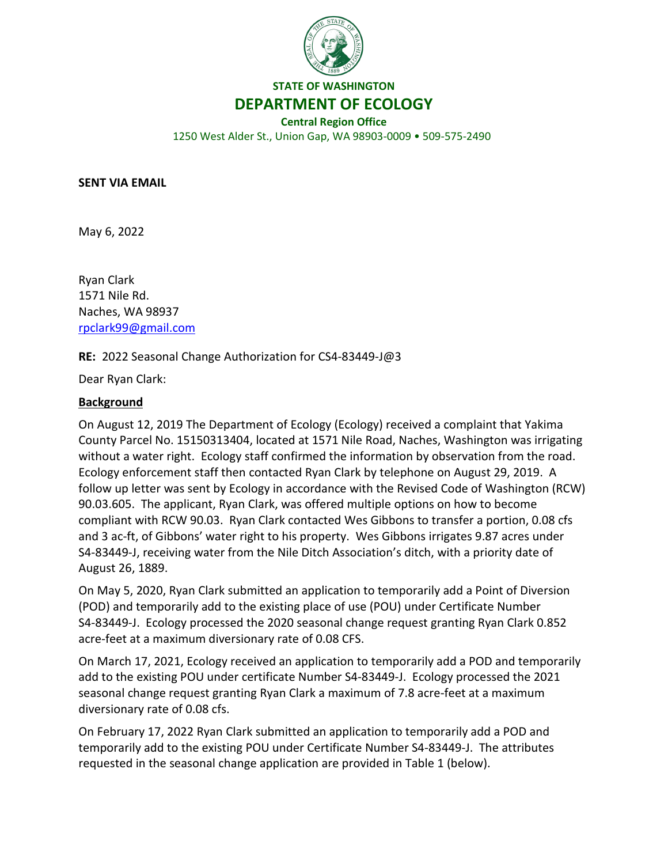

**STATE OF WASHINGTON**

**DEPARTMENT OF ECOLOGY**

**Central Region Office** 1250 West Alder St., Union Gap, WA 98903-0009 • 509-575-2490

**SENT VIA EMAIL**

May 6, 2022

Ryan Clark 1571 Nile Rd. Naches, WA 98937 [rpclark99@gmail.com](mailto:rpclark99@gmail.com)

**RE:** 2022 Seasonal Change Authorization for CS4-83449-J@3

Dear Ryan Clark:

#### **Background**

On August 12, 2019 The Department of Ecology (Ecology) received a complaint that Yakima County Parcel No. 15150313404, located at 1571 Nile Road, Naches, Washington was irrigating without a water right. Ecology staff confirmed the information by observation from the road. Ecology enforcement staff then contacted Ryan Clark by telephone on August 29, 2019. A follow up letter was sent by Ecology in accordance with the Revised Code of Washington (RCW) 90.03.605. The applicant, Ryan Clark, was offered multiple options on how to become compliant with RCW 90.03. Ryan Clark contacted Wes Gibbons to transfer a portion, 0.08 cfs and 3 ac-ft, of Gibbons' water right to his property. Wes Gibbons irrigates 9.87 acres under S4-83449-J, receiving water from the Nile Ditch Association's ditch, with a priority date of August 26, 1889.

On May 5, 2020, Ryan Clark submitted an application to temporarily add a Point of Diversion (POD) and temporarily add to the existing place of use (POU) under Certificate Number S4-83449-J. Ecology processed the 2020 seasonal change request granting Ryan Clark 0.852 acre-feet at a maximum diversionary rate of 0.08 CFS.

On March 17, 2021, Ecology received an application to temporarily add a POD and temporarily add to the existing POU under certificate Number S4-83449-J. Ecology processed the 2021 seasonal change request granting Ryan Clark a maximum of 7.8 acre-feet at a maximum diversionary rate of 0.08 cfs.

On February 17, 2022 Ryan Clark submitted an application to temporarily add a POD and temporarily add to the existing POU under Certificate Number S4-83449-J. The attributes requested in the seasonal change application are provided in Table 1 (below).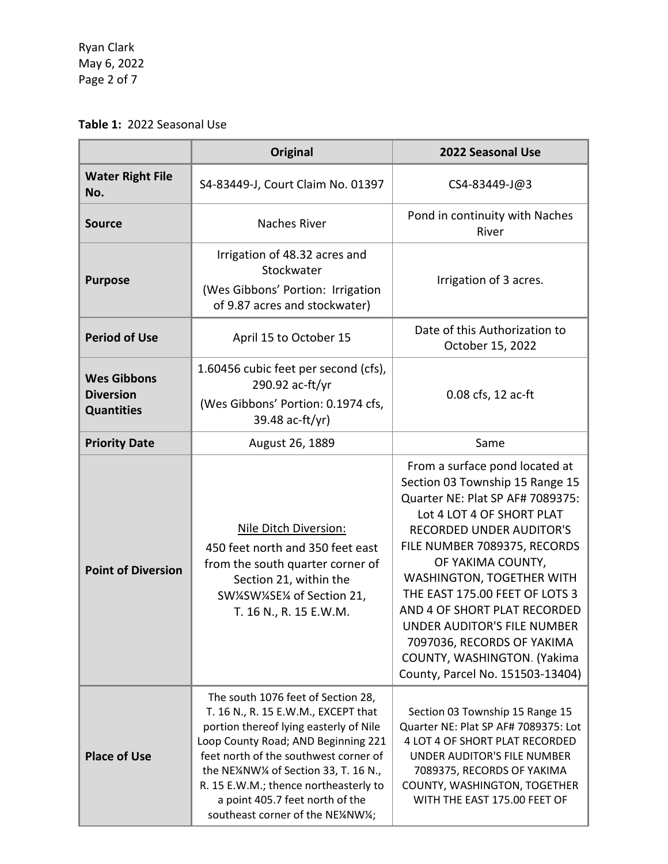Ryan Clark May 6, 2022 Page 2 of 7

# **Table 1:** 2022 Seasonal Use

|                                                             | <b>Original</b>                                                                                                                                                                                                                                                                                                                                           | 2022 Seasonal Use                                                                                                                                                                                                                                                                                                                                                                                                                                         |
|-------------------------------------------------------------|-----------------------------------------------------------------------------------------------------------------------------------------------------------------------------------------------------------------------------------------------------------------------------------------------------------------------------------------------------------|-----------------------------------------------------------------------------------------------------------------------------------------------------------------------------------------------------------------------------------------------------------------------------------------------------------------------------------------------------------------------------------------------------------------------------------------------------------|
| <b>Water Right File</b><br>No.                              | S4-83449-J, Court Claim No. 01397                                                                                                                                                                                                                                                                                                                         | CS4-83449-J@3                                                                                                                                                                                                                                                                                                                                                                                                                                             |
| <b>Source</b>                                               | <b>Naches River</b>                                                                                                                                                                                                                                                                                                                                       | Pond in continuity with Naches<br>River                                                                                                                                                                                                                                                                                                                                                                                                                   |
| <b>Purpose</b>                                              | Irrigation of 48.32 acres and<br>Stockwater<br>(Wes Gibbons' Portion: Irrigation<br>of 9.87 acres and stockwater)                                                                                                                                                                                                                                         | Irrigation of 3 acres.                                                                                                                                                                                                                                                                                                                                                                                                                                    |
| <b>Period of Use</b>                                        | April 15 to October 15                                                                                                                                                                                                                                                                                                                                    | Date of this Authorization to<br>October 15, 2022                                                                                                                                                                                                                                                                                                                                                                                                         |
| <b>Wes Gibbons</b><br><b>Diversion</b><br><b>Quantities</b> | 1.60456 cubic feet per second (cfs),<br>290.92 ac-ft/yr<br>(Wes Gibbons' Portion: 0.1974 cfs,<br>39.48 ac-ft/yr)                                                                                                                                                                                                                                          | 0.08 cfs, 12 ac-ft                                                                                                                                                                                                                                                                                                                                                                                                                                        |
| <b>Priority Date</b>                                        | August 26, 1889                                                                                                                                                                                                                                                                                                                                           | Same                                                                                                                                                                                                                                                                                                                                                                                                                                                      |
| <b>Point of Diversion</b>                                   | Nile Ditch Diversion:<br>450 feet north and 350 feet east<br>from the south quarter corner of<br>Section 21, within the<br>SW¼SW¼SE¼ of Section 21,<br>T. 16 N., R. 15 E.W.M.                                                                                                                                                                             | From a surface pond located at<br>Section 03 Township 15 Range 15<br>Quarter NE: Plat SP AF# 7089375:<br>Lot 4 LOT 4 OF SHORT PLAT<br><b>RECORDED UNDER AUDITOR'S</b><br>FILE NUMBER 7089375, RECORDS<br>OF YAKIMA COUNTY,<br>WASHINGTON, TOGETHER WITH<br>THE EAST 175.00 FEET OF LOTS 3<br>AND 4 OF SHORT PLAT RECORDED<br>UNDER AUDITOR'S FILE NUMBER<br>7097036, RECORDS OF YAKIMA<br>COUNTY, WASHINGTON. (Yakima<br>County, Parcel No. 151503-13404) |
| <b>Place of Use</b>                                         | The south 1076 feet of Section 28,<br>T. 16 N., R. 15 E.W.M., EXCEPT that<br>portion thereof lying easterly of Nile<br>Loop County Road; AND Beginning 221<br>feet north of the southwest corner of<br>the NE¼NW¼ of Section 33, T. 16 N.,<br>R. 15 E.W.M.; thence northeasterly to<br>a point 405.7 feet north of the<br>southeast corner of the NE¼NW¼; | Section 03 Township 15 Range 15<br>Quarter NE: Plat SP AF# 7089375: Lot<br>4 LOT 4 OF SHORT PLAT RECORDED<br><b>UNDER AUDITOR'S FILE NUMBER</b><br>7089375, RECORDS OF YAKIMA<br>COUNTY, WASHINGTON, TOGETHER<br>WITH THE EAST 175.00 FEET OF                                                                                                                                                                                                             |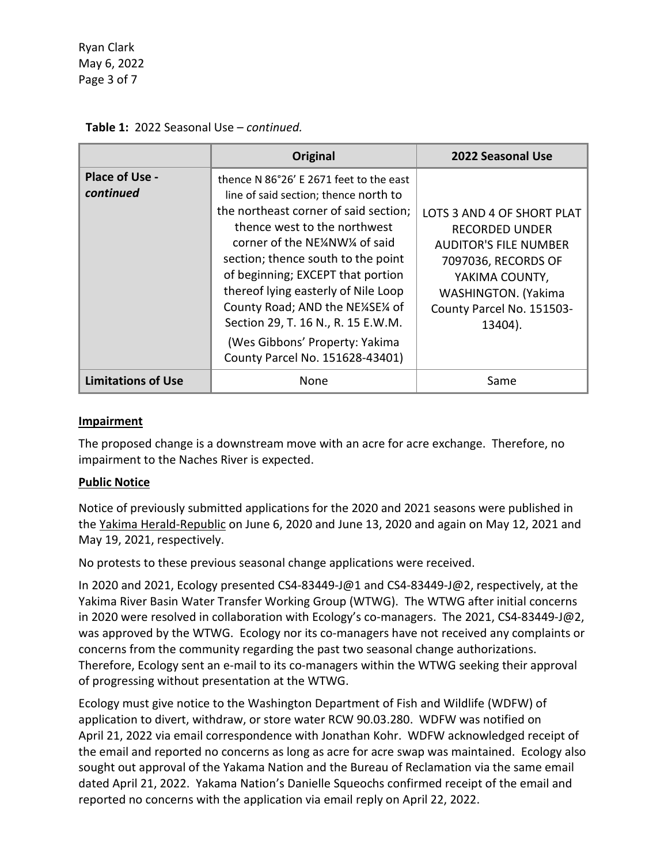Ryan Clark May 6, 2022 Page 3 of 7

|                                    | Original                                                                                                                                                                                                                                                                                                                                                                                                                                                    | 2022 Seasonal Use                                                                                                                                                                           |
|------------------------------------|-------------------------------------------------------------------------------------------------------------------------------------------------------------------------------------------------------------------------------------------------------------------------------------------------------------------------------------------------------------------------------------------------------------------------------------------------------------|---------------------------------------------------------------------------------------------------------------------------------------------------------------------------------------------|
| <b>Place of Use -</b><br>continued | thence N 86°26' E 2671 feet to the east<br>line of said section; thence north to<br>the northeast corner of said section;<br>thence west to the northwest<br>corner of the NE4NW14 of said<br>section; thence south to the point<br>of beginning; EXCEPT that portion<br>thereof lying easterly of Nile Loop<br>County Road; AND the NE14SE14 of<br>Section 29, T. 16 N., R. 15 E.W.M.<br>(Wes Gibbons' Property: Yakima<br>County Parcel No. 151628-43401) | LOTS 3 AND 4 OF SHORT PLAT<br><b>RECORDED UNDER</b><br><b>AUDITOR'S FILE NUMBER</b><br>7097036, RECORDS OF<br>YAKIMA COUNTY,<br>WASHINGTON. (Yakima<br>County Parcel No. 151503-<br>13404). |
| <b>Limitations of Use</b>          | None                                                                                                                                                                                                                                                                                                                                                                                                                                                        | Same                                                                                                                                                                                        |

#### **Table 1:** 2022 Seasonal Use – *continued.*

#### **Impairment**

The proposed change is a downstream move with an acre for acre exchange. Therefore, no impairment to the Naches River is expected.

#### **Public Notice**

Notice of previously submitted applications for the 2020 and 2021 seasons were published in the Yakima Herald-Republic on June 6, 2020 and June 13, 2020 and again on May 12, 2021 and May 19, 2021, respectively.

No protests to these previous seasonal change applications were received.

In 2020 and 2021, Ecology presented CS4-83449-J@1 and CS4-83449-J@2, respectively, at the Yakima River Basin Water Transfer Working Group (WTWG). The WTWG after initial concerns in 2020 were resolved in collaboration with Ecology's co-managers. The 2021, CS4-83449-J@2, was approved by the WTWG. Ecology nor its co-managers have not received any complaints or concerns from the community regarding the past two seasonal change authorizations. Therefore, Ecology sent an e-mail to its co-managers within the WTWG seeking their approval of progressing without presentation at the WTWG.

Ecology must give notice to the Washington Department of Fish and Wildlife (WDFW) of application to divert, withdraw, or store water RCW 90.03.280. WDFW was notified on April 21, 2022 via email correspondence with Jonathan Kohr. WDFW acknowledged receipt of the email and reported no concerns as long as acre for acre swap was maintained. Ecology also sought out approval of the Yakama Nation and the Bureau of Reclamation via the same email dated April 21, 2022. Yakama Nation's Danielle Squeochs confirmed receipt of the email and reported no concerns with the application via email reply on April 22, 2022.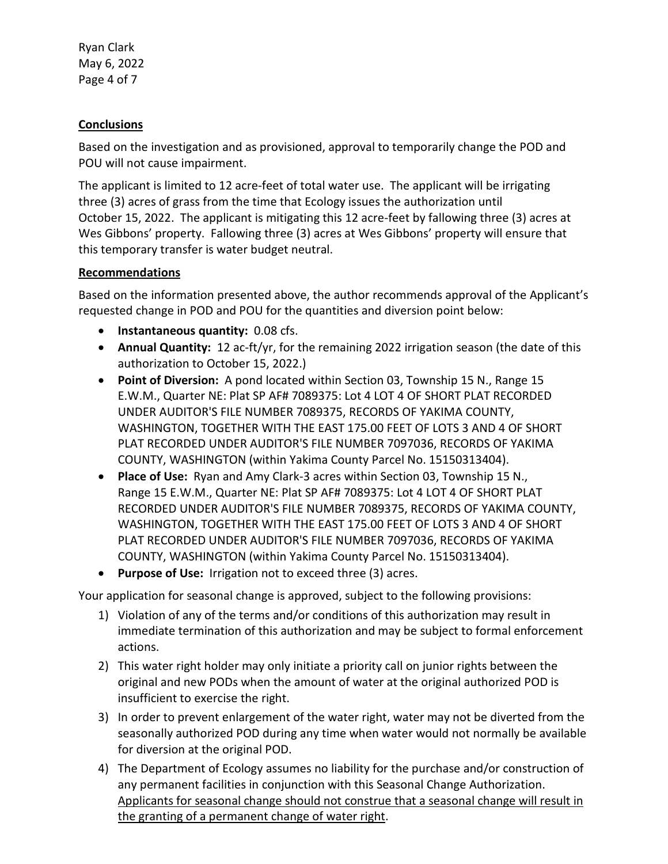Ryan Clark May 6, 2022 Page 4 of 7

## **Conclusions**

Based on the investigation and as provisioned, approval to temporarily change the POD and POU will not cause impairment.

The applicant is limited to 12 acre-feet of total water use. The applicant will be irrigating three (3) acres of grass from the time that Ecology issues the authorization until October 15, 2022. The applicant is mitigating this 12 acre-feet by fallowing three (3) acres at Wes Gibbons' property. Fallowing three (3) acres at Wes Gibbons' property will ensure that this temporary transfer is water budget neutral.

### **Recommendations**

Based on the information presented above, the author recommends approval of the Applicant's requested change in POD and POU for the quantities and diversion point below:

- **Instantaneous quantity:** 0.08 cfs.
- **Annual Quantity:** 12 ac-ft/yr, for the remaining 2022 irrigation season (the date of this authorization to October 15, 2022.)
- **Point of Diversion:** A pond located within Section 03, Township 15 N., Range 15 E.W.M., Quarter NE: Plat SP AF# 7089375: Lot 4 LOT 4 OF SHORT PLAT RECORDED UNDER AUDITOR'S FILE NUMBER 7089375, RECORDS OF YAKIMA COUNTY, WASHINGTON, TOGETHER WITH THE EAST 175.00 FEET OF LOTS 3 AND 4 OF SHORT PLAT RECORDED UNDER AUDITOR'S FILE NUMBER 7097036, RECORDS OF YAKIMA COUNTY, WASHINGTON (within Yakima County Parcel No. 15150313404).
- **Place of Use:** Ryan and Amy Clark-3 acres within Section 03, Township 15 N., Range 15 E.W.M., Quarter NE: Plat SP AF# 7089375: Lot 4 LOT 4 OF SHORT PLAT RECORDED UNDER AUDITOR'S FILE NUMBER 7089375, RECORDS OF YAKIMA COUNTY, WASHINGTON, TOGETHER WITH THE EAST 175.00 FEET OF LOTS 3 AND 4 OF SHORT PLAT RECORDED UNDER AUDITOR'S FILE NUMBER 7097036, RECORDS OF YAKIMA COUNTY, WASHINGTON (within Yakima County Parcel No. 15150313404).
- **Purpose of Use:** Irrigation not to exceed three (3) acres.

Your application for seasonal change is approved, subject to the following provisions:

- 1) Violation of any of the terms and/or conditions of this authorization may result in immediate termination of this authorization and may be subject to formal enforcement actions.
- 2) This water right holder may only initiate a priority call on junior rights between the original and new PODs when the amount of water at the original authorized POD is insufficient to exercise the right.
- 3) In order to prevent enlargement of the water right, water may not be diverted from the seasonally authorized POD during any time when water would not normally be available for diversion at the original POD.
- 4) The Department of Ecology assumes no liability for the purchase and/or construction of any permanent facilities in conjunction with this Seasonal Change Authorization. Applicants for seasonal change should not construe that a seasonal change will result in the granting of a permanent change of water right.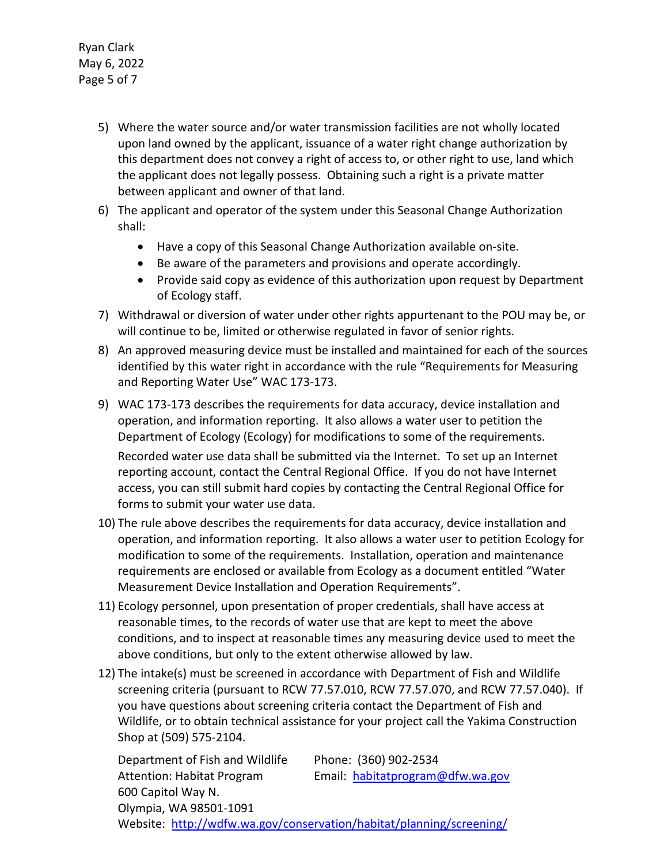Ryan Clark May 6, 2022 Page 5 of 7

- 5) Where the water source and/or water transmission facilities are not wholly located upon land owned by the applicant, issuance of a water right change authorization by this department does not convey a right of access to, or other right to use, land which the applicant does not legally possess. Obtaining such a right is a private matter between applicant and owner of that land.
- 6) The applicant and operator of the system under this Seasonal Change Authorization shall:
	- Have a copy of this Seasonal Change Authorization available on-site.
	- Be aware of the parameters and provisions and operate accordingly.
	- Provide said copy as evidence of this authorization upon request by Department of Ecology staff.
- 7) Withdrawal or diversion of water under other rights appurtenant to the POU may be, or will continue to be, limited or otherwise regulated in favor of senior rights.
- 8) An approved measuring device must be installed and maintained for each of the sources identified by this water right in accordance with the rule "Requirements for Measuring and Reporting Water Use" WAC 173-173.
- 9) WAC 173-173 describes the requirements for data accuracy, device installation and operation, and information reporting. It also allows a water user to petition the Department of Ecology (Ecology) for modifications to some of the requirements.

Recorded water use data shall be submitted via the Internet. To set up an Internet reporting account, contact the Central Regional Office. If you do not have Internet access, you can still submit hard copies by contacting the Central Regional Office for forms to submit your water use data.

- 10) The rule above describes the requirements for data accuracy, device installation and operation, and information reporting. It also allows a water user to petition Ecology for modification to some of the requirements. Installation, operation and maintenance requirements are enclosed or available from Ecology as a document entitled "Water Measurement Device Installation and Operation Requirements".
- 11) Ecology personnel, upon presentation of proper credentials, shall have access at reasonable times, to the records of water use that are kept to meet the above conditions, and to inspect at reasonable times any measuring device used to meet the above conditions, but only to the extent otherwise allowed by law.
- 12) The intake(s) must be screened in accordance with Department of Fish and Wildlife screening criteria (pursuant to RCW 77.57.010, RCW 77.57.070, and RCW 77.57.040). If you have questions about screening criteria contact the Department of Fish and Wildlife, or to obtain technical assistance for your project call the Yakima Construction Shop at (509) 575-2104.

Department of Fish and Wildlife Phone: (360) 902-2534 Attention: Habitat Program Email: [habitatprogram@dfw.wa.gov](mailto:habitatprogram@dfw.wa.gov) 600 Capitol Way N. Olympia, WA 98501-1091 Website: <http://wdfw.wa.gov/conservation/habitat/planning/screening/>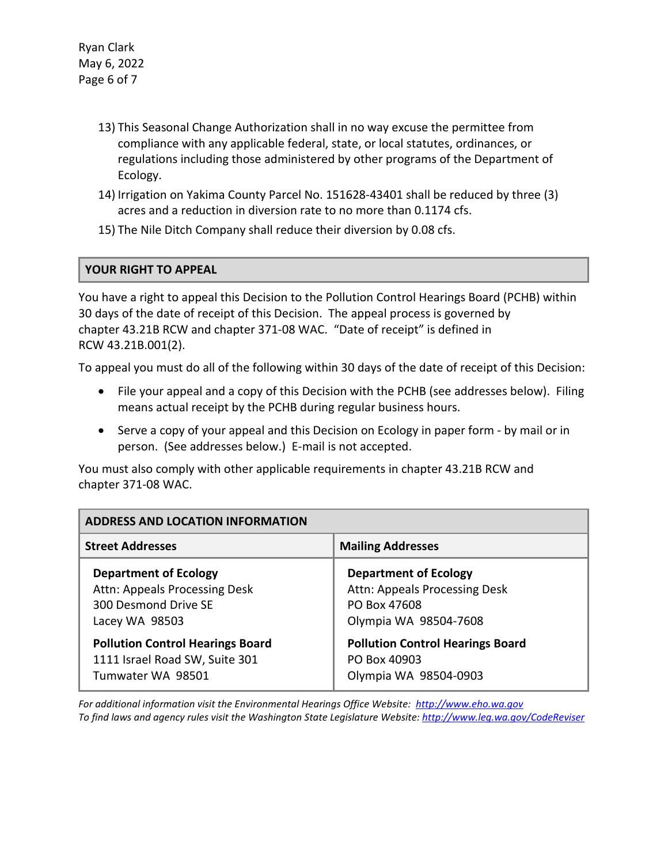Ryan Clark May 6, 2022 Page 6 of 7

- 13) This Seasonal Change Authorization shall in no way excuse the permittee from compliance with any applicable federal, state, or local statutes, ordinances, or regulations including those administered by other programs of the Department of Ecology.
- 14) Irrigation on Yakima County Parcel No. 151628-43401 shall be reduced by three (3) acres and a reduction in diversion rate to no more than 0.1174 cfs.
- 15) The Nile Ditch Company shall reduce their diversion by 0.08 cfs.

### **YOUR RIGHT TO APPEAL**

You have a right to appeal this Decision to the Pollution Control Hearings Board (PCHB) within 30 days of the date of receipt of this Decision. The appeal process is governed by chapter 43.21B RCW and chapter 371-08 WAC. "Date of receipt" is defined in RCW 43.21B.001(2).

To appeal you must do all of the following within 30 days of the date of receipt of this Decision:

- File your appeal and a copy of this Decision with the PCHB (see addresses below). Filing means actual receipt by the PCHB during regular business hours.
- Serve a copy of your appeal and this Decision on Ecology in paper form by mail or in person. (See addresses below.) E-mail is not accepted.

You must also comply with other applicable requirements in chapter 43.21B RCW and chapter 371-08 WAC.

| ADDRESS AND LOCATION INFORMATION        |                                         |  |  |
|-----------------------------------------|-----------------------------------------|--|--|
| <b>Street Addresses</b>                 | <b>Mailing Addresses</b>                |  |  |
| <b>Department of Ecology</b>            | <b>Department of Ecology</b>            |  |  |
| Attn: Appeals Processing Desk           | Attn: Appeals Processing Desk           |  |  |
| 300 Desmond Drive SE                    | PO Box 47608                            |  |  |
| Lacey WA 98503                          | Olympia WA 98504-7608                   |  |  |
| <b>Pollution Control Hearings Board</b> | <b>Pollution Control Hearings Board</b> |  |  |
| 1111 Israel Road SW, Suite 301          | PO Box 40903                            |  |  |
| Tumwater WA 98501                       | Olympia WA 98504-0903                   |  |  |

*For additional information visit the Environmental Hearings Office Website: [http://www.eho.wa.gov](http://www.eho.wa.gov/) To find laws and agency rules visit the Washington State Legislature Website:<http://www.leg.wa.gov/CodeReviser>*